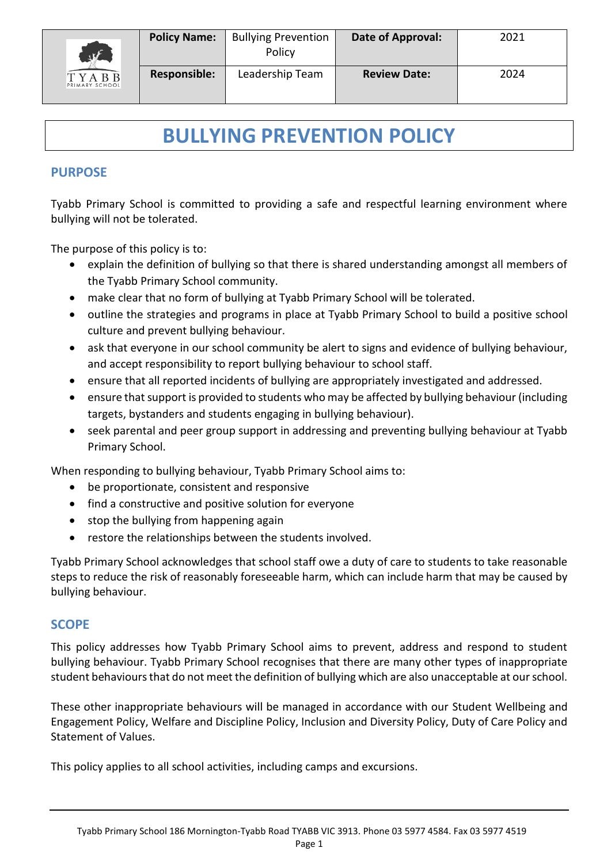

# **BULLYING PREVENTION POLICY**

### **PURPOSE**

Tyabb Primary School is committed to providing a safe and respectful learning environment where bullying will not be tolerated.

The purpose of this policy is to:

- explain the definition of bullying so that there is shared understanding amongst all members of the Tyabb Primary School community.
- make clear that no form of bullying at Tyabb Primary School will be tolerated.
- outline the strategies and programs in place at Tyabb Primary School to build a positive school culture and prevent bullying behaviour.
- ask that everyone in our school community be alert to signs and evidence of bullying behaviour, and accept responsibility to report bullying behaviour to school staff.
- ensure that all reported incidents of bullying are appropriately investigated and addressed.
- ensure that support is provided to students who may be affected by bullying behaviour (including targets, bystanders and students engaging in bullying behaviour).
- seek parental and peer group support in addressing and preventing bullying behaviour at Tyabb Primary School.

When responding to bullying behaviour, Tyabb Primary School aims to:

- be proportionate, consistent and responsive
- find a constructive and positive solution for everyone
- stop the bullying from happening again
- restore the relationships between the students involved.

Tyabb Primary School acknowledges that school staff owe a duty of care to students to take reasonable steps to reduce the risk of reasonably foreseeable harm, which can include harm that may be caused by bullying behaviour.

### **SCOPE**

This policy addresses how Tyabb Primary School aims to prevent, address and respond to student bullying behaviour. Tyabb Primary School recognises that there are many other types of inappropriate student behaviours that do not meet the definition of bullying which are also unacceptable at our school.

These other inappropriate behaviours will be managed in accordance with our Student Wellbeing and Engagement Policy, Welfare and Discipline Policy, Inclusion and Diversity Policy, Duty of Care Policy and Statement of Values.

This policy applies to all school activities, including camps and excursions.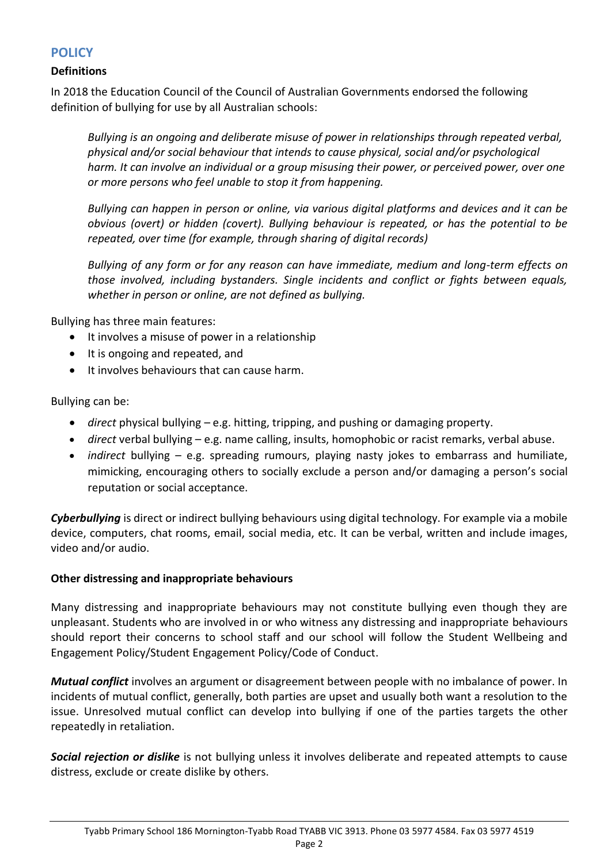### **POLICY**

### **Definitions**

In 2018 the Education Council of the Council of Australian Governments endorsed the following definition of bullying for use by all Australian schools:

*Bullying is an ongoing and deliberate misuse of power in relationships through repeated verbal, physical and/or social behaviour that intends to cause physical, social and/or psychological harm. It can involve an individual or a group misusing their power, or perceived power, over one or more persons who feel unable to stop it from happening.*

*Bullying can happen in person or online, via various digital platforms and devices and it can be obvious (overt) or hidden (covert). Bullying behaviour is repeated, or has the potential to be repeated, over time (for example, through sharing of digital records)*

*Bullying of any form or for any reason can have immediate, medium and long-term effects on those involved, including bystanders. Single incidents and conflict or fights between equals, whether in person or online, are not defined as bullying.* 

Bullying has three main features:

- It involves a misuse of power in a relationship
- It is ongoing and repeated, and
- It involves behaviours that can cause harm.

Bullying can be:

- *direct* physical bullying e.g. hitting, tripping, and pushing or damaging property.
- *direct* verbal bullying e.g. name calling, insults, homophobic or racist remarks, verbal abuse.
- *indirect* bullying e.g. spreading rumours, playing nasty jokes to embarrass and humiliate, mimicking, encouraging others to socially exclude a person and/or damaging a person's social reputation or social acceptance.

*Cyberbullying* is direct or indirect bullying behaviours using digital technology. For example via a mobile device, computers, chat rooms, email, social media, etc. It can be verbal, written and include images, video and/or audio.

### **Other distressing and inappropriate behaviours**

Many distressing and inappropriate behaviours may not constitute bullying even though they are unpleasant. Students who are involved in or who witness any distressing and inappropriate behaviours should report their concerns to school staff and our school will follow the Student Wellbeing and Engagement Policy/Student Engagement Policy/Code of Conduct.

*Mutual conflict* involves an argument or disagreement between people with no imbalance of power. In incidents of mutual conflict, generally, both parties are upset and usually both want a resolution to the issue. Unresolved mutual conflict can develop into bullying if one of the parties targets the other repeatedly in retaliation.

*Social rejection or dislike* is not bullying unless it involves deliberate and repeated attempts to cause distress, exclude or create dislike by others.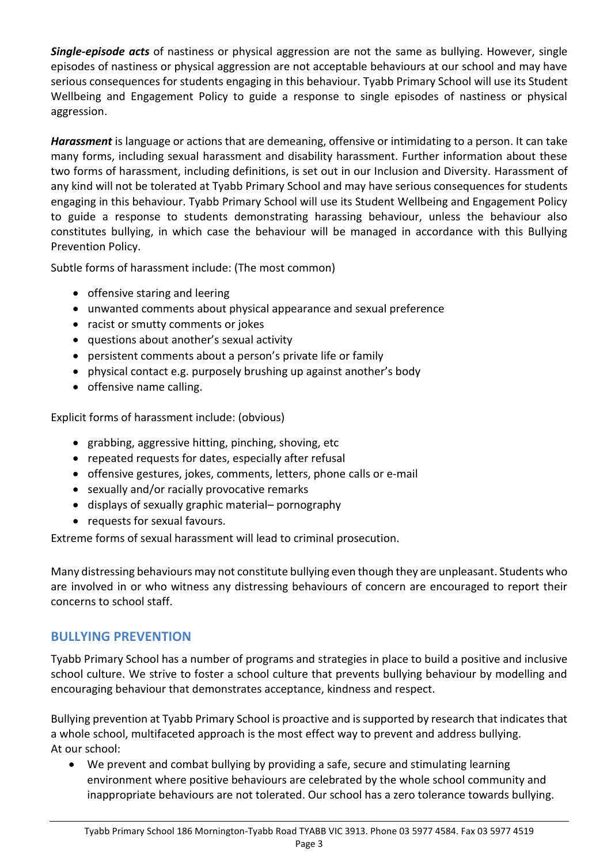*Single-episode acts* of nastiness or physical aggression are not the same as bullying. However, single episodes of nastiness or physical aggression are not acceptable behaviours at our school and may have serious consequences for students engaging in this behaviour. Tyabb Primary School will use its Student Wellbeing and Engagement Policy to guide a response to single episodes of nastiness or physical aggression.

*Harassment* is language or actions that are demeaning, offensive or intimidating to a person. It can take many forms, including sexual harassment and disability harassment. Further information about these two forms of harassment, including definitions, is set out in our Inclusion and Diversity. Harassment of any kind will not be tolerated at Tyabb Primary School and may have serious consequences for students engaging in this behaviour. Tyabb Primary School will use its Student Wellbeing and Engagement Policy to guide a response to students demonstrating harassing behaviour, unless the behaviour also constitutes bullying, in which case the behaviour will be managed in accordance with this Bullying Prevention Policy.

Subtle forms of harassment include: (The most common)

- offensive staring and leering
- unwanted comments about physical appearance and sexual preference
- racist or smutty comments or jokes
- questions about another's sexual activity
- persistent comments about a person's private life or family
- physical contact e.g. purposely brushing up against another's body
- offensive name calling.

Explicit forms of harassment include: (obvious)

- grabbing, aggressive hitting, pinching, shoving, etc
- repeated requests for dates, especially after refusal
- offensive gestures, jokes, comments, letters, phone calls or e-mail
- sexually and/or racially provocative remarks
- displays of sexually graphic material– pornography
- requests for sexual favours.

Extreme forms of sexual harassment will lead to criminal prosecution.

Many distressing behaviours may not constitute bullying even though they are unpleasant. Students who are involved in or who witness any distressing behaviours of concern are encouraged to report their concerns to school staff.

### **BULLYING PREVENTION**

Tyabb Primary School has a number of programs and strategies in place to build a positive and inclusive school culture. We strive to foster a school culture that prevents bullying behaviour by modelling and encouraging behaviour that demonstrates acceptance, kindness and respect.

Bullying prevention at Tyabb Primary School is proactive and is supported by research that indicates that a whole school, multifaceted approach is the most effect way to prevent and address bullying. At our school:

 We prevent and combat bullying by providing a safe, secure and stimulating learning environment where positive behaviours are celebrated by the whole school community and inappropriate behaviours are not tolerated. Our school has a zero tolerance towards bullying.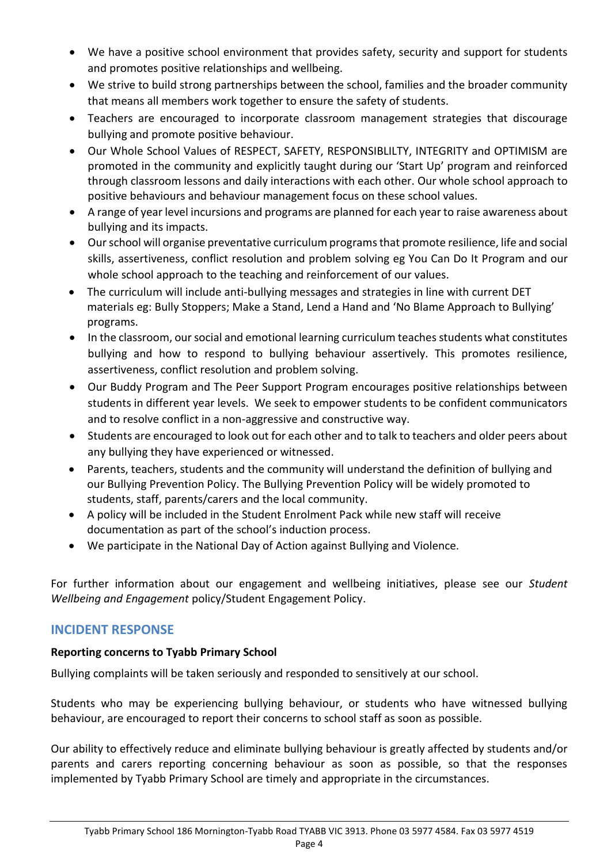- We have a positive school environment that provides safety, security and support for students and promotes positive relationships and wellbeing.
- We strive to build strong partnerships between the school, families and the broader community that means all members work together to ensure the safety of students.
- Teachers are encouraged to incorporate classroom management strategies that discourage bullying and promote positive behaviour.
- Our Whole School Values of RESPECT, SAFETY, RESPONSIBLILTY, INTEGRITY and OPTIMISM are promoted in the community and explicitly taught during our 'Start Up' program and reinforced through classroom lessons and daily interactions with each other. Our whole school approach to positive behaviours and behaviour management focus on these school values.
- A range of year level incursions and programs are planned for each year to raise awareness about bullying and its impacts.
- Our school will organise preventative curriculum programs that promote resilience, life and social skills, assertiveness, conflict resolution and problem solving eg You Can Do It Program and our whole school approach to the teaching and reinforcement of our values.
- The curriculum will include anti-bullying messages and strategies in line with current DET materials eg: Bully Stoppers; Make a Stand, Lend a Hand and 'No Blame Approach to Bullying' programs.
- In the classroom, our social and emotional learning curriculum teaches students what constitutes bullying and how to respond to bullying behaviour assertively. This promotes resilience, assertiveness, conflict resolution and problem solving.
- Our Buddy Program and The Peer Support Program encourages positive relationships between students in different year levels. We seek to empower students to be confident communicators and to resolve conflict in a non-aggressive and constructive way.
- Students are encouraged to look out for each other and to talk to teachers and older peers about any bullying they have experienced or witnessed.
- Parents, teachers, students and the community will understand the definition of bullying and our Bullying Prevention Policy. The Bullying Prevention Policy will be widely promoted to students, staff, parents/carers and the local community.
- A policy will be included in the Student Enrolment Pack while new staff will receive documentation as part of the school's induction process.
- We participate in the National Day of Action against Bullying and Violence.

For further information about our engagement and wellbeing initiatives, please see our *Student Wellbeing and Engagement* policy/Student Engagement Policy.

# **INCIDENT RESPONSE**

### **Reporting concerns to Tyabb Primary School**

Bullying complaints will be taken seriously and responded to sensitively at our school.

Students who may be experiencing bullying behaviour, or students who have witnessed bullying behaviour, are encouraged to report their concerns to school staff as soon as possible.

Our ability to effectively reduce and eliminate bullying behaviour is greatly affected by students and/or parents and carers reporting concerning behaviour as soon as possible, so that the responses implemented by Tyabb Primary School are timely and appropriate in the circumstances.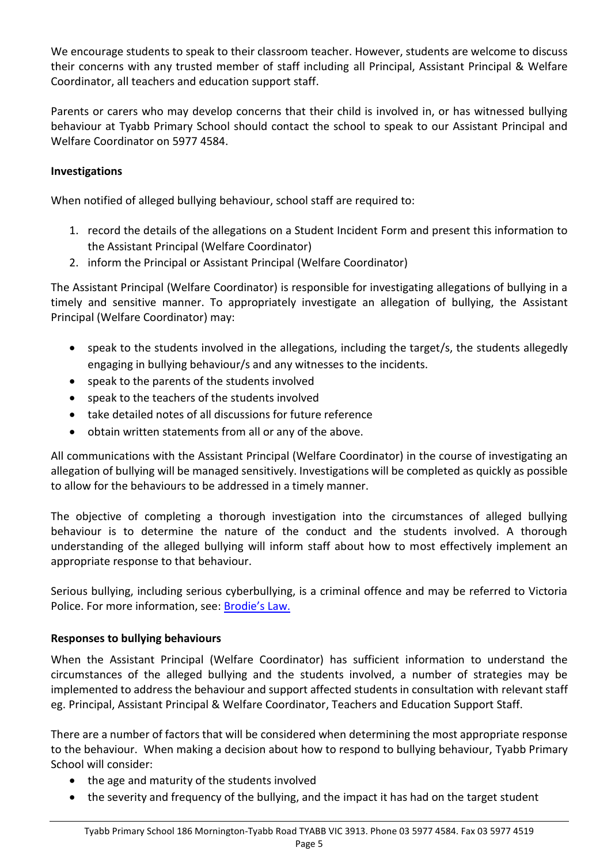We encourage students to speak to their classroom teacher. However, students are welcome to discuss their concerns with any trusted member of staff including all Principal, Assistant Principal & Welfare Coordinator, all teachers and education support staff.

Parents or carers who may develop concerns that their child is involved in, or has witnessed bullying behaviour at Tyabb Primary School should contact the school to speak to our Assistant Principal and Welfare Coordinator on 5977 4584.

### **Investigations**

When notified of alleged bullying behaviour, school staff are required to:

- 1. record the details of the allegations on a Student Incident Form and present this information to the Assistant Principal (Welfare Coordinator)
- 2. inform the Principal or Assistant Principal (Welfare Coordinator)

The Assistant Principal (Welfare Coordinator) is responsible for investigating allegations of bullying in a timely and sensitive manner. To appropriately investigate an allegation of bullying, the Assistant Principal (Welfare Coordinator) may:

- speak to the students involved in the allegations, including the target/s, the students allegedly engaging in bullying behaviour/s and any witnesses to the incidents.
- speak to the parents of the students involved
- speak to the teachers of the students involved
- take detailed notes of all discussions for future reference
- obtain written statements from all or any of the above.

All communications with the Assistant Principal (Welfare Coordinator) in the course of investigating an allegation of bullying will be managed sensitively. Investigations will be completed as quickly as possible to allow for the behaviours to be addressed in a timely manner.

The objective of completing a thorough investigation into the circumstances of alleged bullying behaviour is to determine the nature of the conduct and the students involved. A thorough understanding of the alleged bullying will inform staff about how to most effectively implement an appropriate response to that behaviour.

Serious bullying, including serious cyberbullying, is a criminal offence and may be referred to Victoria Police. For more information, see: [Brodie's Law.](http://www.education.vic.gov.au/about/programs/bullystoppers/Pages/advicesheetbrodieslaw.aspx)

### **Responses to bullying behaviours**

When the Assistant Principal (Welfare Coordinator) has sufficient information to understand the circumstances of the alleged bullying and the students involved, a number of strategies may be implemented to address the behaviour and support affected students in consultation with relevant staff eg. Principal, Assistant Principal & Welfare Coordinator, Teachers and Education Support Staff.

There are a number of factors that will be considered when determining the most appropriate response to the behaviour. When making a decision about how to respond to bullying behaviour, Tyabb Primary School will consider:

- the age and maturity of the students involved
- the severity and frequency of the bullying, and the impact it has had on the target student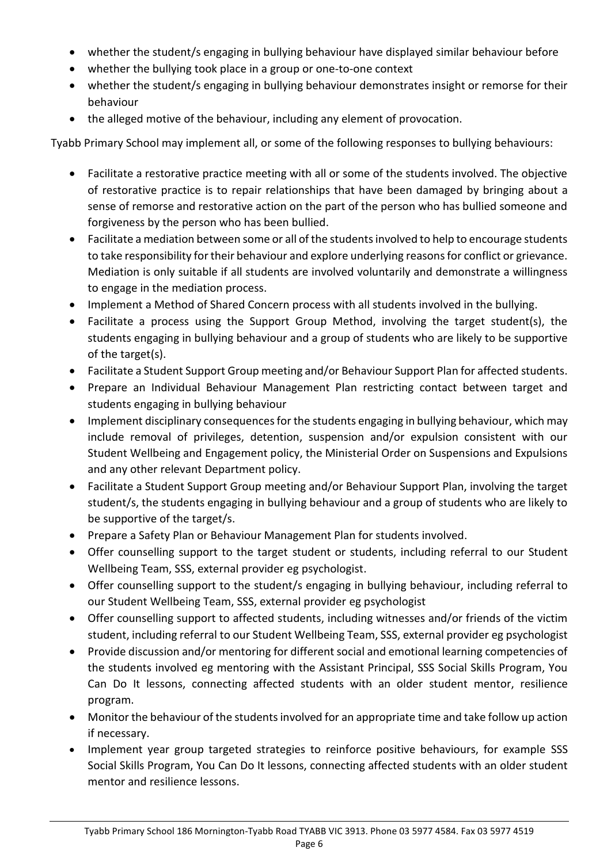- whether the student/s engaging in bullying behaviour have displayed similar behaviour before
- whether the bullying took place in a group or one-to-one context
- whether the student/s engaging in bullying behaviour demonstrates insight or remorse for their behaviour
- the alleged motive of the behaviour, including any element of provocation.

Tyabb Primary School may implement all, or some of the following responses to bullying behaviours:

- Facilitate a restorative practice meeting with all or some of the students involved. The objective of restorative practice is to repair relationships that have been damaged by bringing about a sense of remorse and restorative action on the part of the person who has bullied someone and forgiveness by the person who has been bullied.
- Facilitate a mediation between some or all of the students involved to help to encourage students to take responsibility for their behaviour and explore underlying reasons for conflict or grievance. Mediation is only suitable if all students are involved voluntarily and demonstrate a willingness to engage in the mediation process.
- Implement a Method of Shared Concern process with all students involved in the bullying.
- Facilitate a process using the Support Group Method, involving the target student(s), the students engaging in bullying behaviour and a group of students who are likely to be supportive of the target(s).
- Facilitate a Student Support Group meeting and/or Behaviour Support Plan for affected students.
- Prepare an Individual Behaviour Management Plan restricting contact between target and students engaging in bullying behaviour
- Implement disciplinary consequences for the students engaging in bullying behaviour, which may include removal of privileges, detention, suspension and/or expulsion consistent with our Student Wellbeing and Engagement policy, the Ministerial Order on Suspensions and Expulsions and any other relevant Department policy.
- Facilitate a Student Support Group meeting and/or Behaviour Support Plan, involving the target student/s, the students engaging in bullying behaviour and a group of students who are likely to be supportive of the target/s.
- Prepare a Safety Plan or Behaviour Management Plan for students involved.
- Offer counselling support to the target student or students, including referral to our Student Wellbeing Team, SSS, external provider eg psychologist.
- Offer counselling support to the student/s engaging in bullying behaviour, including referral to our Student Wellbeing Team, SSS, external provider eg psychologist
- Offer counselling support to affected students, including witnesses and/or friends of the victim student, including referral to our Student Wellbeing Team, SSS, external provider eg psychologist
- Provide discussion and/or mentoring for different social and emotional learning competencies of the students involved eg mentoring with the Assistant Principal, SSS Social Skills Program, You Can Do It lessons, connecting affected students with an older student mentor, resilience program.
- Monitor the behaviour of the students involved for an appropriate time and take follow up action if necessary.
- Implement year group targeted strategies to reinforce positive behaviours, for example SSS Social Skills Program, You Can Do It lessons, connecting affected students with an older student mentor and resilience lessons.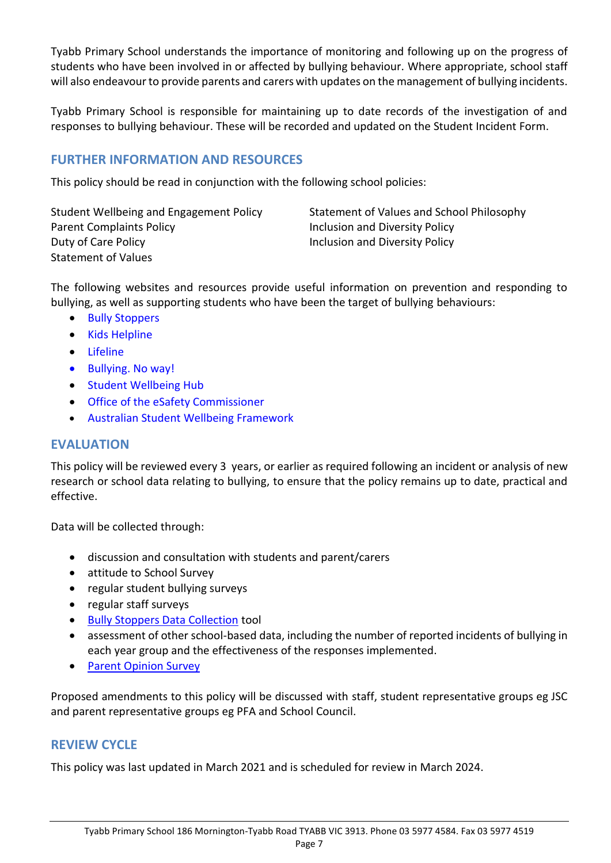Tyabb Primary School understands the importance of monitoring and following up on the progress of students who have been involved in or affected by bullying behaviour. Where appropriate, school staff will also endeavour to provide parents and carers with updates on the management of bullying incidents.

Tyabb Primary School is responsible for maintaining up to date records of the investigation of and responses to bullying behaviour. These will be recorded and updated on the Student Incident Form.

# **FURTHER INFORMATION AND RESOURCES**

This policy should be read in conjunction with the following school policies:

Parent Complaints Policy **Inclusion** Inclusion and Diversity Policy Duty of Care Policy **Inclusion and Diversity Policy Inclusion and Diversity Policy** Statement of Values

Student Wellbeing and Engagement Policy Statement of Values and School Philosophy

The following websites and resources provide useful information on prevention and responding to bullying, as well as supporting students who have been the target of bullying behaviours:

- [Bully Stoppers](https://bullyingnoway.gov.au/PreventingBullying/Planning/Pages/School-policy.aspx)
- [Kids Helpline](https://kidshelpline.com.au/)
- [Lifeline](https://www.lifeline.org.au/)
- [Bullying. No way!](https://bullyingnoway.gov.au/PreventingBullying/Planning/Pages/School-policy.aspx)
- [Student Wellbeing Hub](https://www.studentwellbeinghub.edu.au/)
- [Office of the eSafety Commissioner](https://www.esafety.gov.au/)
- [Australian Student Wellbeing Framework](https://www.studentwellbeinghub.edu.au/resources/detail?id=dd6b5222-d5c5-6d32-997d-ff0000a69c30#/)

# **EVALUATION**

This policy will be reviewed every 3 years, or earlier as required following an incident or analysis of new research or school data relating to bullying, to ensure that the policy remains up to date, practical and effective.

Data will be collected through:

- discussion and consultation with students and parent/carers
- attitude to School Survey
- regular student bullying surveys
- regular staff surveys
- **[Bully Stoppers Data Collection](https://www.education.vic.gov.au/about/programs/bullystoppers/Pages/teachdata.aspx) tool**
- assessment of other school-based data, including the number of reported incidents of bullying in each year group and the effectiveness of the responses implemented.
- **•** [Parent Opinion Survey](https://www.education.vic.gov.au/school/teachers/management/improvement/pages/performsurveyparent.aspx)

Proposed amendments to this policy will be discussed with staff, student representative groups eg JSC and parent representative groups eg PFA and School Council.

### **REVIEW CYCLE**

This policy was last updated in March 2021 and is scheduled for review in March 2024.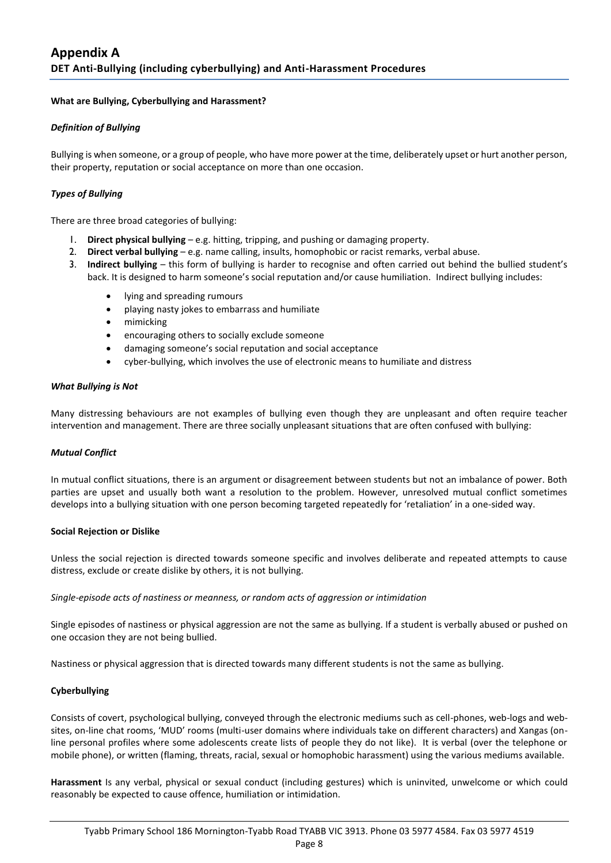#### **What are Bullying, Cyberbullying and Harassment?**

#### *Definition of Bullying*

Bullying is when someone, or a group of people, who have more power at the time, deliberately upset or hurt another person, their property, reputation or social acceptance on more than one occasion.

#### *Types of Bullying*

There are three broad categories of bullying:

- 1. **Direct physical bullying** e.g. hitting, tripping, and pushing or damaging property.
- 2. **Direct verbal bullying** e.g. name calling, insults, homophobic or racist remarks, verbal abuse.
- 3. **Indirect bullying** this form of bullying is harder to recognise and often carried out behind the bullied student's back. It is designed to harm someone's social reputation and/or cause humiliation. Indirect bullying includes:
	- lying and spreading rumours
	- playing nasty jokes to embarrass and humiliate
	- mimicking
	- encouraging others to socially exclude someone
	- damaging someone's social reputation and social acceptance
	- cyber-bullying, which involves the use of electronic means to humiliate and distress

#### *What Bullying is Not*

Many distressing behaviours are not examples of bullying even though they are unpleasant and often require teacher intervention and management. There are three socially unpleasant situations that are often confused with bullying:

#### *Mutual Conflict*

In mutual conflict situations, there is an argument or disagreement between students but not an imbalance of power. Both parties are upset and usually both want a resolution to the problem. However, unresolved mutual conflict sometimes develops into a bullying situation with one person becoming targeted repeatedly for 'retaliation' in a one-sided way.

#### **Social Rejection or Dislike**

Unless the social rejection is directed towards someone specific and involves deliberate and repeated attempts to cause distress, exclude or create dislike by others, it is not bullying.

*Single-episode acts of nastiness or meanness, or random acts of aggression or intimidation*

Single episodes of nastiness or physical aggression are not the same as bullying. If a student is verbally abused or pushed on one occasion they are not being bullied.

Nastiness or physical aggression that is directed towards many different students is not the same as bullying.

#### **Cyberbullying**

Consists of covert, psychological bullying, conveyed through the electronic mediums such as cell-phones, web-logs and websites, on-line chat rooms, 'MUD' rooms (multi-user domains where individuals take on different characters) and Xangas (online personal profiles where some adolescents create lists of people they do not like). It is verbal (over the telephone or mobile phone), or written (flaming, threats, racial, sexual or homophobic harassment) using the various mediums available.

**Harassment** Is any verbal, physical or sexual conduct (including gestures) which is uninvited, unwelcome or which could reasonably be expected to cause offence, humiliation or intimidation.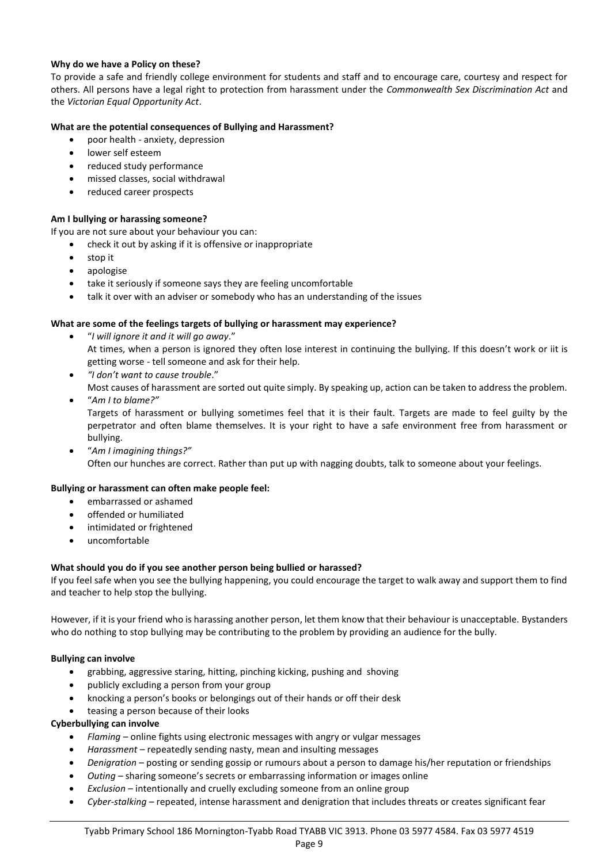#### **Why do we have a Policy on these?**

To provide a safe and friendly college environment for students and staff and to encourage care, courtesy and respect for others. All persons have a legal right to protection from harassment under the *Commonwealth Sex Discrimination Act* and the *Victorian Equal Opportunity Act*.

#### **What are the potential consequences of Bullying and Harassment?**

- poor health anxiety, depression
- lower self esteem
- reduced study performance
- missed classes, social withdrawal
- reduced career prospects

#### **Am I bullying or harassing someone?**

If you are not sure about your behaviour you can:

- check it out by asking if it is offensive or inappropriate
- stop it
- apologise
- take it seriously if someone says they are feeling uncomfortable
- talk it over with an adviser or somebody who has an understanding of the issues

#### **What are some of the feelings targets of bullying or harassment may experience?**

- "*I will ignore it and it will go away*." At times, when a person is ignored they often lose interest in continuing the bullying. If this doesn't work or iit is getting worse - tell someone and ask for their help.
- *"I don't want to cause trouble*." Most causes of harassment are sorted out quite simply. By speaking up, action can be taken to address the problem.
- "*Am I to blame?"* Targets of harassment or bullying sometimes feel that it is their fault. Targets are made to feel guilty by the perpetrator and often blame themselves. It is your right to have a safe environment free from harassment or bullying.
- "*Am I imagining things?"* Often our hunches are correct. Rather than put up with nagging doubts, talk to someone about your feelings.

#### **Bullying or harassment can often make people feel:**

- embarrassed or ashamed
- offended or humiliated
- intimidated or frightened
- uncomfortable

#### **What should you do if you see another person being bullied or harassed?**

If you feel safe when you see the bullying happening, you could encourage the target to walk away and support them to find and teacher to help stop the bullying.

However, if it is your friend who is harassing another person, let them know that their behaviour is unacceptable. Bystanders who do nothing to stop bullying may be contributing to the problem by providing an audience for the bully.

#### **Bullying can involve**

- grabbing, aggressive staring, hitting, pinching kicking, pushing and shoving
- publicly excluding a person from your group
- knocking a person's books or belongings out of their hands or off their desk
- teasing a person because of their looks

#### **Cyberbullying can involve**

- *Flaming*  online fights using electronic messages with angry or vulgar messages
- *Harassment*  repeatedly sending nasty, mean and insulting messages
- *Denigration*  posting or sending gossip or rumours about a person to damage his/her reputation or friendships
- *Outing*  sharing someone's secrets or embarrassing information or images online
- *Exclusion*  intentionally and cruelly excluding someone from an online group
- *Cyber-stalking*  repeated, intense harassment and denigration that includes threats or creates significant fear